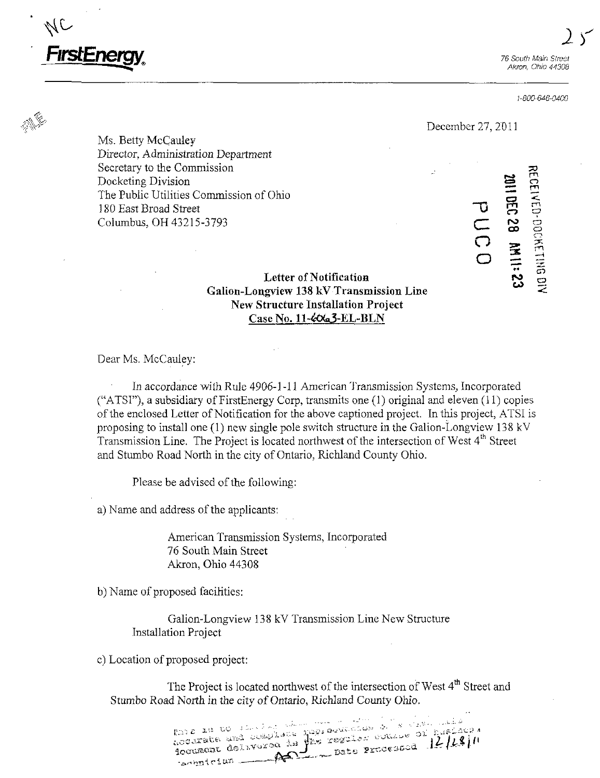

1-800-6d6-04G0

#### December 27, 2011

Ms. Betty McCauley Director, Administration Department Secretary to the Commission Docketing Division The Public Utilities Commission of Ohio 180 East Broad Street Columbus, OH 43215-3793 Columbus, OH 43215-3793

2011 DEC 28 AM 11: 23 RECEIVED-DOCKETING DIV

# Letter of Notification Galion-Loagview 138 kV Transmission Line New Structure Installation Project Case No. 11-4063-EL-BLN

Dear Ms. McCauley:

In accordance with Rule 4906-1-11 American Transmission Systems, Incorporated ("ATSl"), a subsidiary of FirstEnergy Corp, transmits one (1) original and eleven (11) copies of the enclosed Letter of Notification for the above captioned project. In this project, ATSI is proposing to install one (1) new single pole switch structure in the Galion-Longview 138 kV Transmission Line. The Project is located northwest of the intersection of West 4<sup>th</sup> Street and Stumbo Road North in the city of Ontario, Richland County Ohio.

Please be advised of the following:

a) Name and address of the applicants:

American Transmission Systems, Incorporated 76 South Main Street Akron, Ohio 44308

b) Name of proposed facilities:

Galion-Longview 138 kV Transmission Line New Structure Installation Project

c) Location of proposed project:

The Project is located northwest of the intersection of West 4<sup>th</sup> Street and Stumbo Road North in the city of Ontario, Richland County Ohio.

accarate and complete population of special or publicity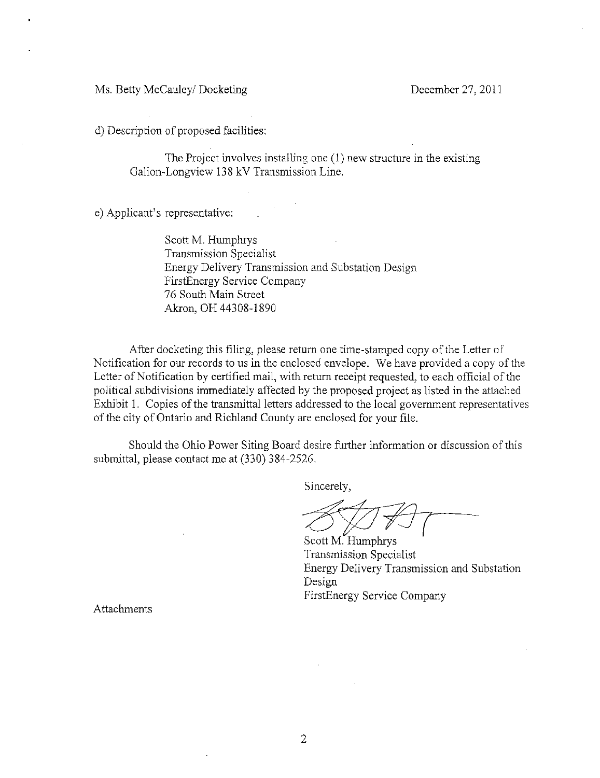Ms. Betty McCauley/ Docketing December 27, 2011

d) Description of proposed facilities:

The Project involves installing one  $(1)$  new structure in the existing Galion-Longview 138 kV Transmission Line.

e) Applicant's representative:

Scott M. Humphrys Transmission Specialist Energy Delivery Transmission and Substation Design FirstEnergy Service Company 76 South Main Street Akron, OH 44308-1890

After docketing this filing, please return one time-stamped copy of the Letter of Notification for our records to us in the enclosed envelope. We have provided a copy of the Letter of Notification by certified mail, with return receipt requested, to each official of the political subdivisions immediately affected by the proposed project as listed in the attached Exhibit 1. Copies of the transmittal letters addressed to the local government representatives of the city of Ontario and Richland County are enclosed for your file.

Should the Ohio Power Siting Board desire further information or discussion of this submittal, please contact me at (330) 384-2526.

Sincerely,

Scott M. Humphrys Transmission Specialist Energy Delivery Transmission and Substation Design FirstEnergy Service Company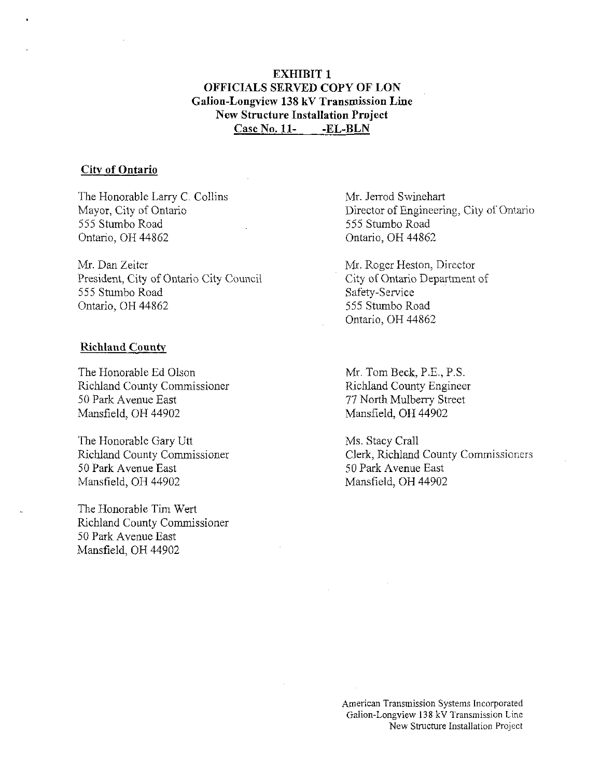# EXHIBIT 1 OFFICIALS SERVED COPY OF LON Galion-Longview 138 kV Transmission Line New Structure Installation Project Case No. 11- -EL-BLN

#### City of Ontario

The Honorable Larry C. Collins Mayor, City of Ontario 555 Stumbo Road Ontario, OH 44862

Mr. Dan Zeiter President, City of Ontario City Council 555 Stumbo Road Ontario, OH 44862

#### Richland County

The Honorable Ed Olson Richland County Commissioner 50 Park Avenue East Mansfield. OH 44902

The Honorable Gary Utt Richland County Commissioner 50 Park Avenue East Mansfield, OH 44902

The Honorable Tim Wert Richland County Commissioner 50 Park Avenue East Mansfield, OH 44902

Mr, Jerrod Swinehart Director of Engineering, City of Ontario 555 Stumbo Road Ontario, OH 44862

Mr. Roger Heston, Director City of Ontario Department of Safety-Service 555 Stumbo Road Ontario, OH 44862

Mr.TomBeck,P.E.,P.S. Richland County Engineer 77 North Mulberry Street Mansfield, OH 44902

Ms. Stacy Crall Clerk, Richland County Commissioners 50 Park Avenue East Mansfield, OH 44902

American Transmission Systems Incorporated Gaiion-Longview 138 kV Transmission Line New Structure Installation Project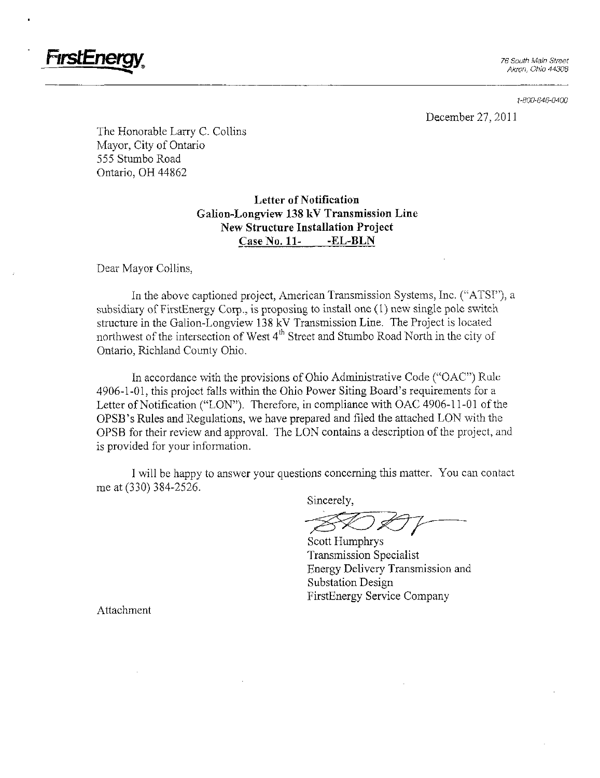

1-300-646-0400

December 27, 2011

The Honorable Larry C. Collins Mayor, City of Ontario 555 Stumbo Road Ontario, OH 44862

> Letter of Notification Galion-Longview 138 kV Transmission Line New Structure Installation Project Case No. 11- -EL-BLN

Dear Mayor Collins,

In the above captioned project, American Transmission Systems, Inc. ("ATSI"), a subsidiary of FirstEnergy Corp., is proposing to install one (1) new single pole switch structure in the Galion-Longview 138 kV Transmission Line. The Project is located northwest of the intersection of West 4<sup>th</sup> Street and Stumbo Road North in the city of Ontario, Richland County Ohio.

In accordance with the provisions of Ohio Administrative Code ("OAC") Rule 4906-1-01, this project falls within the Ohio Power Siting Board's requirements for a Letter of Notification ("LON"). Therefore, in compliance with OAC 4906-11-01 of the OPSB's Rules and Regulations, we have prepared and filed the attached LON with the OPSB for their review and approval. The LON contains a description of the project, and is provided for your information.

I will be happy to answer your questions concerning this matter. You can contact me at (330) 384-2526.

Sincerely,

Scott Humphrys Transmission Specialist Energy Delivery Transmission and Substation Design FirstEnergy Service Company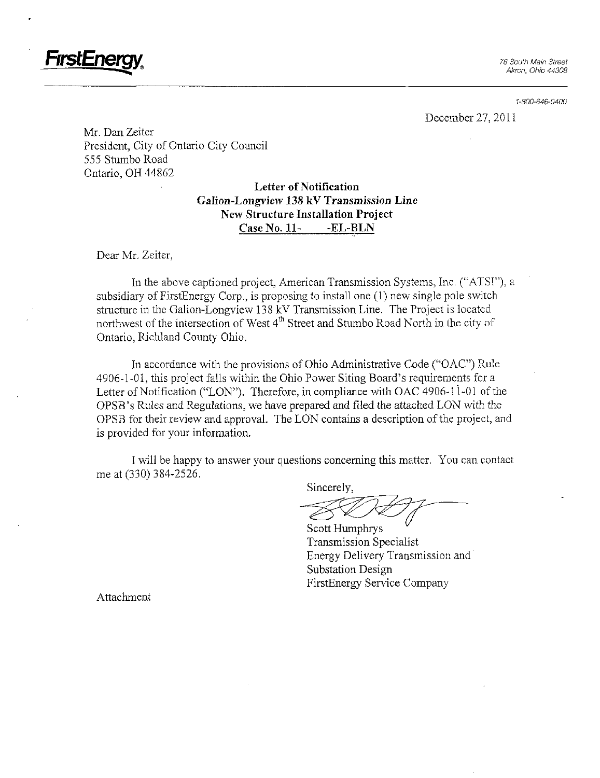

1-800-646-0400

December 27, 2011

Mr. Dan Zeiter President, City of Ontario City Council 555 Stumbo Road Ontario, OH 44862

# Letter of Notification Galion-Longvjew 138 kV Transmission Line New Structure Installation Project Case No. 11- -EL-BLN

Dear Mr. Zeiter,

In the above captioned project, American Transmission Systems, Inc. ("ATSI"), a subsidiary of FirstEnergy Corp., is proposing to install one (1) new single pole switch structure in the Galion-Longview 138 kV Transmission Line. The Project is located northwest of the intersection of West  $4^{\text{th}}$  Street and Stumbo Road North in the city of Ontario, Richland County Ohio.

In accordance with the provisions of Ohio Administrative Code (''OAC") Rule 4906-1-01, this project falls within the Ohio Power Siting Board's requirements for a Letter of Notification ("LON"). Therefore, in compliance with OAC 4906-11-01 of the OPSB's Rules and Regulations, we have prepared and filed the attached LON with the OPSB for their review and approval. The LON contains a description of the project, and is provided for your information.

I will be happy to answer your questions conceming this matter. You can contact me at (330) 384-2526.

Sincerely,

Scott Humphrys Transmission Specialist Energy Delivery Transmission and Substation Design FirstEnergy Service Company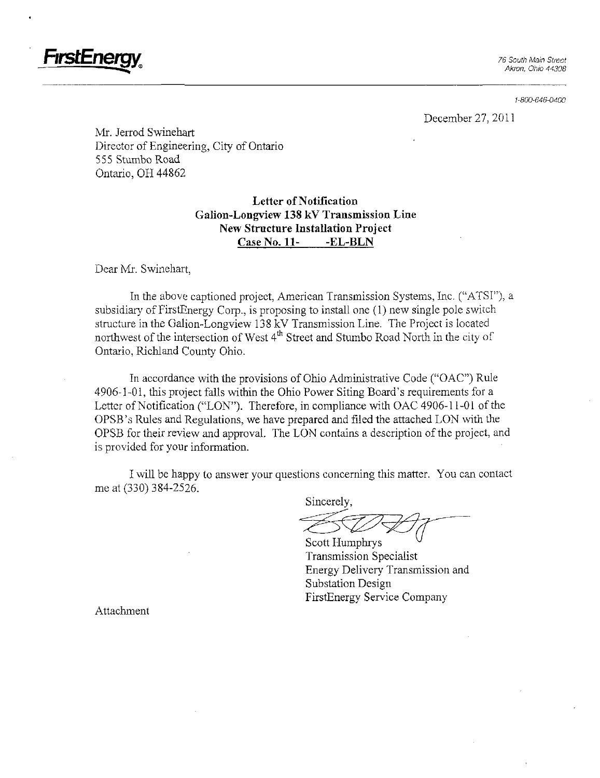

1-800-646-0400

December 27, 2011

Mr. Jerrod Swinehart Director of Engineering, City of Ontario 555 Stumbo Road Ontario, OH 44862

> Letter of Notification Galion-Longview 138 kV Transmission Line New Structure Installation Project Case No. 11- -EL-BLN

Dear Mr. Swinehart.

In the above captioned project, American Transmission Systems, Inc. ("ATSI"), a subsidiary of FirstEnergy Corp., is proposing to install one (1) new single pole switch structure in the Galion-Longview 138 kV Transmission Line. The Project is located northwest of the intersection of West 4<sup>th</sup> Street and Stumbo Road North in the city of Ontario, Richland County Ohio.

In accordance with the provisions of Ohio Administrative Code ("OAC") Rule 4906-1-01, this project falls within the Ohio Power Siting Board's requirements for a Letter of Notification ("LON"). Therefore, in compliance with OAC 4906-11-01 of the OPSB's Rules and Regulations, we have prepared and filed the attached LON with the OPSB for their review and approval. The LON contains a description of the project, and is provided for your information.

I will be happy to answer your questions conceming this matter. You can contact me at (330) 384-2526.

Sincerely,

Scott Humphrys Transmission Specialist Energy Delivery Transmission and Substation Design FirstEnergy Service Company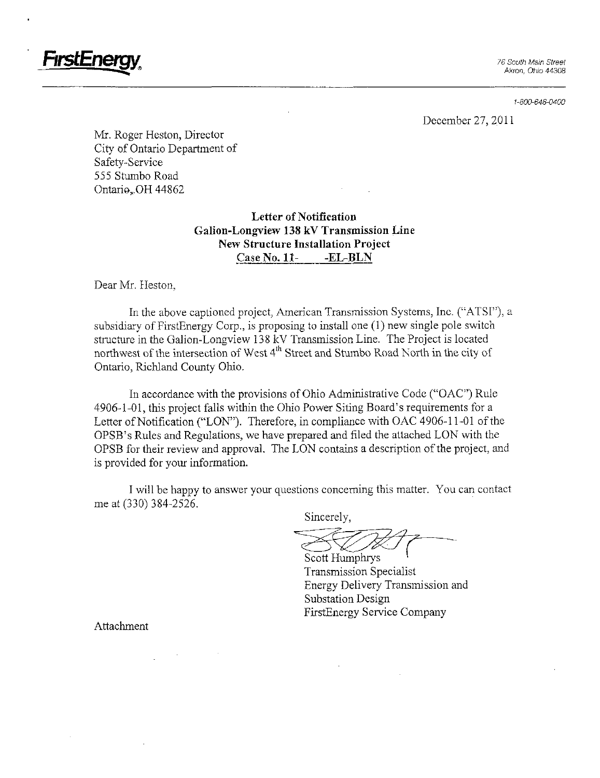

1-800-646-0400

December 27, 2011

Mr. Roger Heston, Director City of Ontario Department of Safety-Service 555 Stumbo Road Ontario<sub>x</sub>OH 44862

# Letter of Notification Galion-Longview 138 kV Transmission Line New Structure Installation Project Case No. 11- -EL-BLN

Dear Mr. Heston,

In the above captioned project, American Transmission Systems, Inc. ("ATSI"), a subsidiary of FirstEnergy Corp., is proposing to install one (1) new single pole switch structure in the Galion-Longview 138 kV Transmission Line. The Project is located northwest of the intersection of West 4<sup>th</sup> Street and Stumbo Road North in the city of Ontario, Richland County Ohio.

In accordance with the provisions of Ohio Administrative Code ("OAC") Rule 4906-1-01, this project falls within the Ohio Power Siting Board's requirements for a Letter of Notification ("LON"). Therefore, in compliance with OAC 4906-11-01 of the OPSB's Rules and Regulations, we have prepared and filed the attached LON with the OPSB for their review and approval. The LON contains a description of the project, and is provided for your information.

I will be happy to answer your questions conceming this matter. You can contact me at (330) 384-2526.

Sincerely,

Scott Humphrys Transmission Specialist Energy Delivery Transmission and Substation Design FirstEnergy Service Company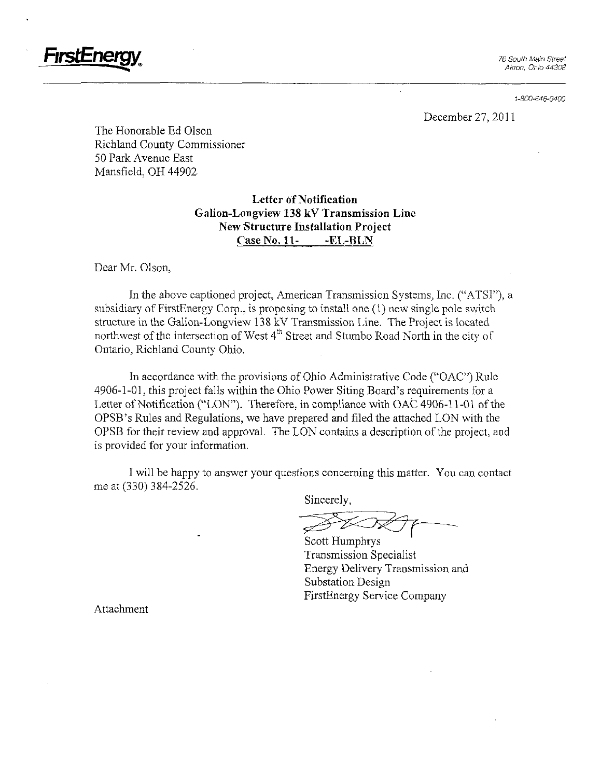

1-800-646-0400

December 27, 2011

The Honorable Ed Olson Richland. County Commissioner 50 Park Avenue East Mansfield, OH 44902

> Letter of Notification Galion-Longview 138 kV Transmission Line New Structure Installation Project Case No. 11- -EL-BLN

Dear Mr. Olson,

In the above captioned project, American Transmission Systems, Inc. ("ATSI"), a subsidiary of FirstEnergy Corp., is proposing to install one (1) new single pole switch structure in the Galion-Longview 138 kV Transmission Line. The Project is located northwest of the intersection of West 4" Street and Stumbo Road North in the city of Ontario, Richland County Ohio.

In accordance with the provisions of Ohio Administrative Code ("OAC") Rule 4906-1-01, this project falls within the Ohio Power Siting Board's requirements for a Letter of Notification ("LON"). Therefore, in compliance with OAC 4906-11-01 of the OPSB's Rules and Regulations, we have prepared and filed the attached LON with the OPSB for their review and approval. The LON contains a description of the project, and is provided for your information.

I will be happy to answer your questions conceming this matter. You can contact me at (330) 384-2526.

Sincerely,

Scott Humphrys Transmission Specialist Energy Delivery Transmission and Substation Design FirstEnergy Service Company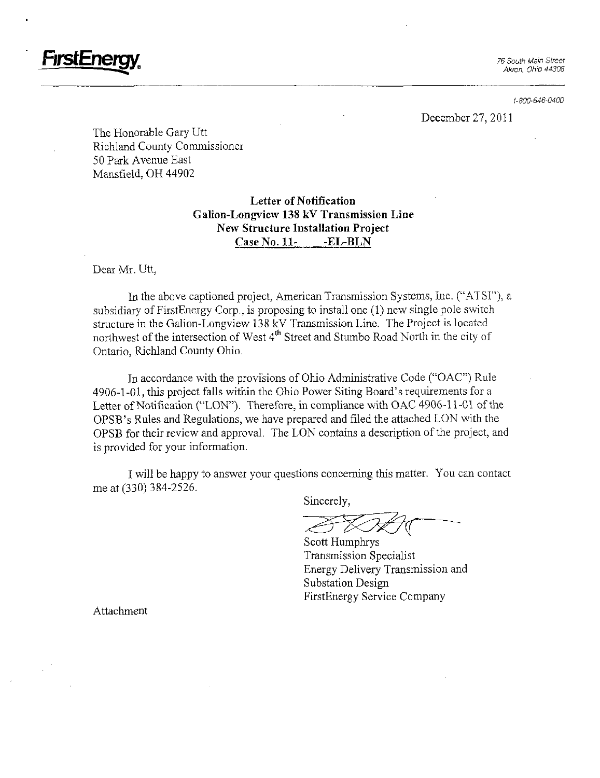76 South Main Street Akron, Ohio 44308

1-800-646-040D

December 27, 2011

The Honorable Gary Utt Richland County Commissioner 50 Park Avenue East Mansfield, OH 44902

> Letter of Notification Galion-Longview 138 kV Transmission Line New Structure Installation Project Case No. 11- -EL-BLN

Dear Mr. Utt,

rmstEne

In the above captioned project, American Transmission Systems, Inc. ("ATSI"), a subsidiary of FirstEnergy Corp., is proposing to install one (1) new single pole switch structure in the Galion-Longview 138 kV Transmission Line. The Project is located northwest of the intersection of West 4<sup>th</sup> Street and Stumbo Road North in the city of Ontario, Richland County Ohio.

In accordance with the provisions of Ohio Administrative Code ("OAC") Rule 4906-1-01, this project falls within the Ohio Power Siting Board's requirements for a Letter of Notification ("LON"). Therefore, in compliance with OAC 4906-11-01 of the OPSB's Rules and Regulations, we have prepared and filed the attached LON with the OPSB for their review and approval. The LON contains a description of the project, and is provided for your information.

I will be happy to answer your questions conceming this matter. You can contact me at (330) 384-2526.

Sincerely,

Scott Humphrys Transmission Specialist Energy Delivery Transmission and Substation Design FirstEnergy Service Company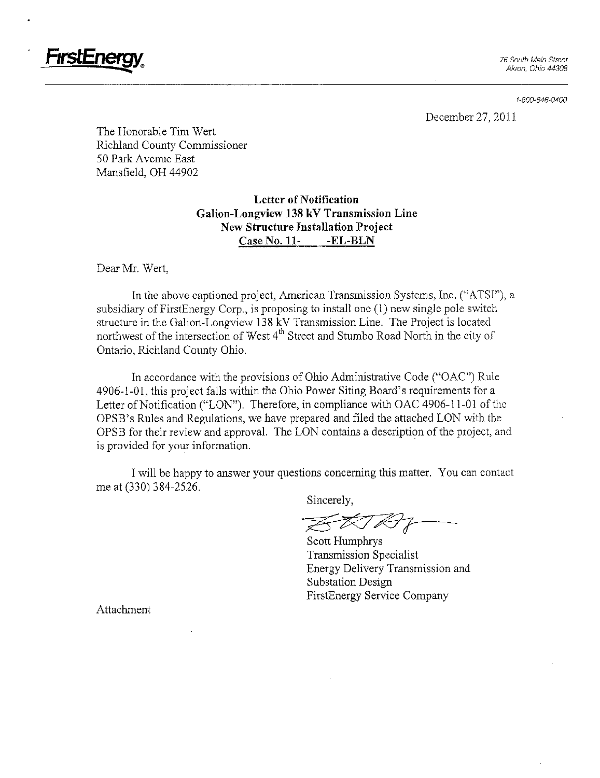

i-800-646-0400

December 27, 2011

The Honorable Tim Wert Richland County Commissioner 50 Park Avenue East Mansfield, OH 44902

> Letter of Notification Galion-Longview 138 kV Transmission Line New Structure Installation Project Case No. 11- -EL-BLN

Dear Mr. Wert,

In the above captioned project, American Transmission Systems, Inc. ("ATSI"), a subsidiary of FirstEnergy Corp., is proposing to install one (1) new single pole switch structure in the Galion-Longview 138 kV Transmission Line. The Project is located northwest of the intersection of West  $4<sup>th</sup>$  Street and Stumbo Road North in the city of Ontario, Richland County Ohio.

In accordance with the provisions of Ohio Administrative Code ("OAC") Rule 4906-1-01, this project falls within the Ohio Power Siting Board's requirements for a Letter of Notification ("LON"). Therefore, in compliance with OAC 4906-11-01 of the OPSB's Rules and Regulations, we have prepared and filed the attached LON with the OPSB for their review and approval, The LON contains a description of the project, and is provided for your information.

I will be happy to answer your questions conceming this matter. You can contact me at (330) 384-2526.

Sincerely,

Scott Humphrys Transmission Specialist Energy Delivery Transmission and Substation Design FirstEnergy Service Company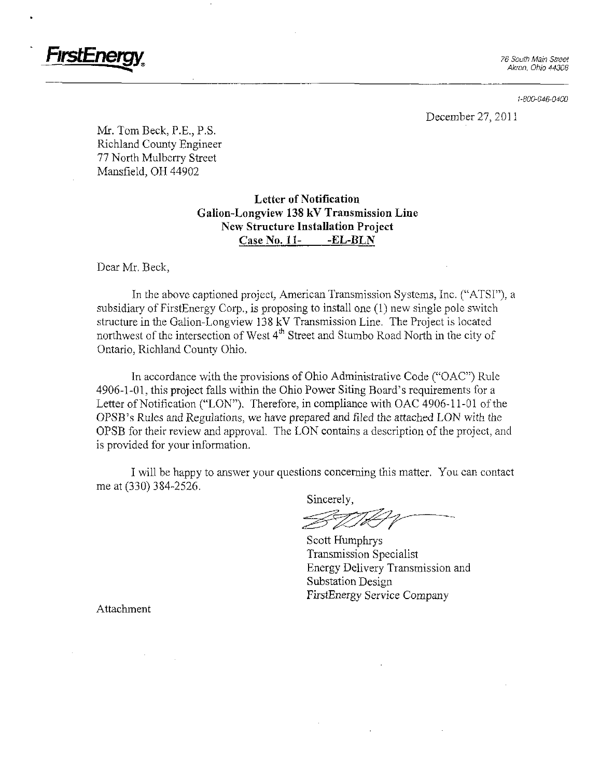

1-800-646-0400

December 27, 2011

Mr. Tom Beck, P.E., P.S. Richland County Engineer 77 North Mulberry Street Mansfield, OH 44902

> Letter of Notification Galion-Longview 138 kV Transmission Line New Structure Installation Project Case No. 11- -EL-BLN

Dear Mr. Beck,

In the above captioned project, American Transmission Systems, Inc. ("ATSI"), a subsidiary of FirstEnergy Corp., is proposing to install one (1) new single pole switch structure in the Galion-Longview 138 kV Transmission Line. The Project is located northwest of the intersection of West 4<sup>th</sup> Street and Stumbo Road North in the city of Ontario, Richland County Ohio.

In accordance with the provisions of Ohio Administrative Code ("OAC") Rule 4906-1-01, this project falls within the Ohio Power Siting Board's requirements for a Letter of Notification ("LON"). Therefore, in compliance with OAC 4906-11-01 of the OPSB's Rules and Regulations, we have prepared and filed the attached LON with the OPSB for their review and approval. The LON contains a description of the project, and is provided for your information.

I will be happy to answer your questions conceming this matter. You can contact me at (330) 384-2526.

Sincerely,

Scott Humphrys Transmission Specialist Energy Delivery Transmission and Substation Design FirstEnergy Service Company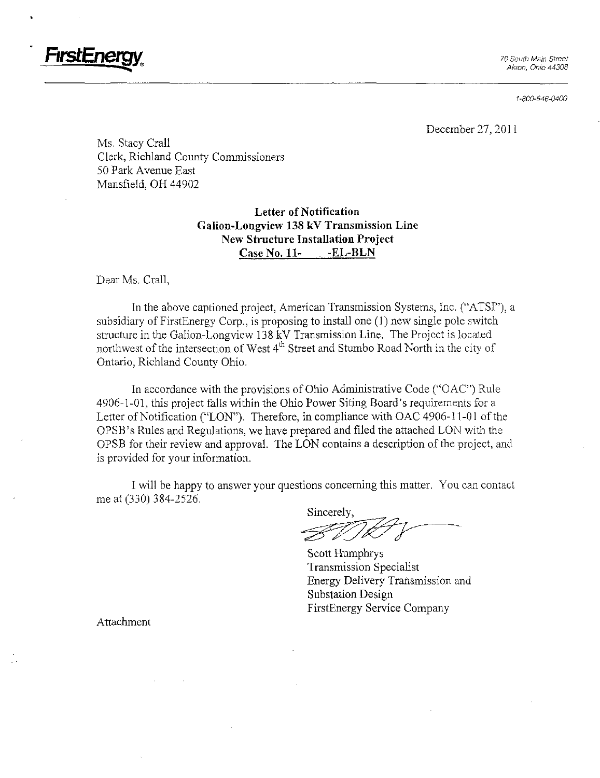

1-800-646-0400

December 27, 2011

Ms. Stacy Crall Clerk, Richland County Commissioners 50 Park Avenue East Mansfield, OH 44902

> Letter of Notification Galion-Longview 138 kV Transmission Line New Structure Installation Project Case No. 11- - EL-BLN

Dear Ms. Crall,

In the above captioned project, American Transmission Systems, Inc. ("ATSI"), a subsidiary of FirstEnergy Corp., is proposing to install one (1) new single pole switch structure in the Galion-Longview 138 kV Transmission Line. The Project is located northwest of the intersection of West 4<sup>th</sup> Street and Stumbo Road North in the city of Ontario, Richland County Ohio.

In accordance with the provisions of Ohio Administrative Code ("OAC") Rule 4906-1-01, this project falls within the Ohio Power Siting Board's requirements for a Letter of Notification ("LON"). Therefore, in compliance with OAC 4906-11-01 of the OPSB's Rules and Regulations, we have prepared and filed the attached LON with the OPSB for their review and approval. The LON contains a description of the project, and is provided for your information.

I will be happy to answer your questions conceming this matter. You can contact me at (330) 384-2526.

Sincerely,

Scott Humphrys Transmission Specialist Energy Delivery Transmission and Substation Design FirstEnergy Service Company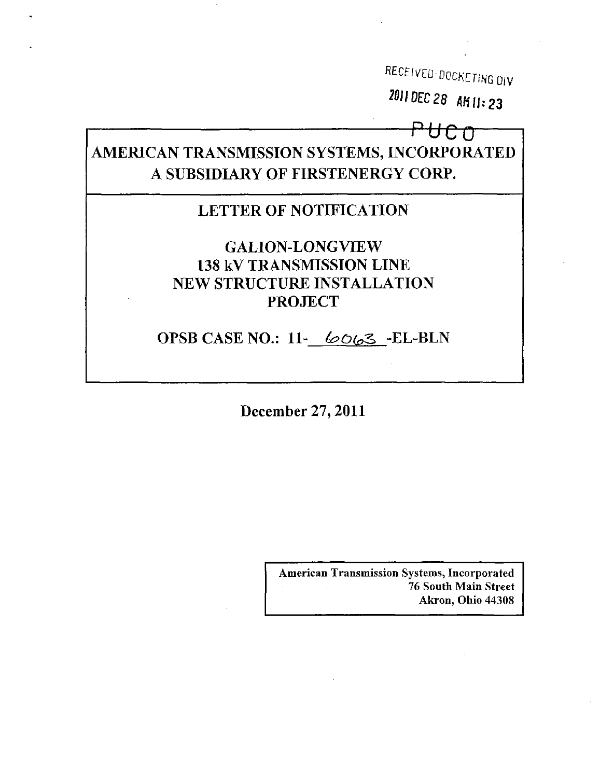RECEIVED-DOCKETING DIV 2011 DEC 28 AK11:23

UCO

# AMERICAN TRANSMISSION SYSTEMS, INCORPORATED A SUBSIDIARY OF FIRSTENERGY CORP.

# **LETTER OF NOTIFICATION**

# **GALION-LONGVIEW 138 kV TRANSMISSION LINE** NEW STRUCTURE INSTALLATION **PROJECT**

OPSB CASE NO.: 11- 6063 -EL-BLN

December 27, 2011

**American Transmission Systems, Incorporated** 76 South Main Street Akron, Ohio 44308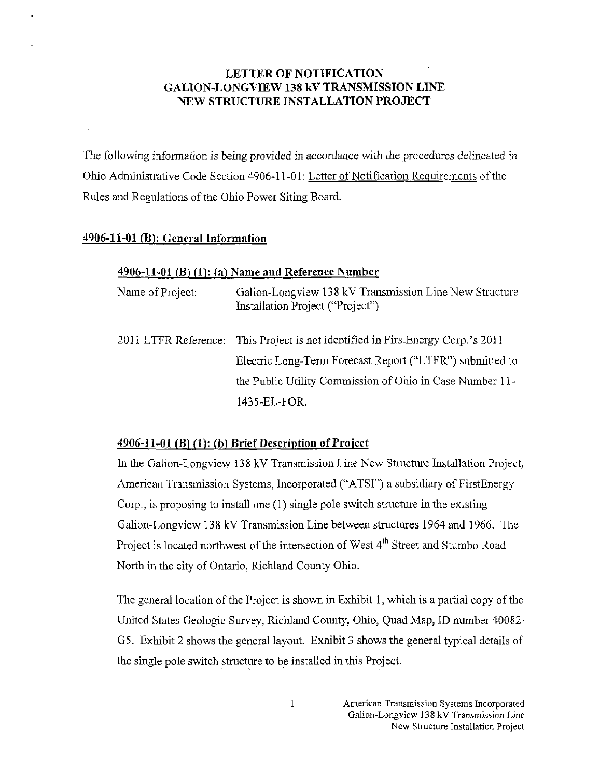# LETTER OF NOTIFICATION GALION-LONGVIEW 138 kV TRANSMISSION LINE NEW STRUCTURE INSTALLATION PROJECT

The following information is being provided in accordance with the procedures delineated in Ohio Administrative Code Section 4906-11-01: Letter of Notification Requirements of the Rules and Regulations of the Ohio Power Siting Board.

# 4906-11-01 (E): General Information

# $4906-11-01$  (B) (1): (a) Name and Reference Number

| Name of Project: | Galion-Longview 138 kV Transmission Line New Structure<br>Installation Project ("Project") |
|------------------|--------------------------------------------------------------------------------------------|
|                  | 2011 LTFR Reference: This Project is not identified in FirstEnergy Corp.'s 2011            |
|                  | Electric Long-Term Forecast Report ("LTFR") submitted to                                   |
|                  | the Public Utility Commission of Ohio in Case Number 11-                                   |
|                  | 1435-EL-FOR.                                                                               |

# $4906-11-01$  (B) (1): (b) Brief Description of Project

In the Galion-Longview 138 kV Transmission Line New Structure Installation Project, American Transmission Systems, Incorporated ("ATSI") a subsidiary of FirstEnergy Corp., is proposing to install one (1) single pole switch structure in the existing Galion-Longview 138 kV Transmission Line between structures 1964 and 1966. The Project is located northwest of the intersection of West 4<sup>th</sup> Street and Stumbo Road North in the city of Ontario, Richland County Ohio.

The general location of the Project is shown in Exhibit 1, which is a partial copy of the United States Geologic Survey, Richland County, Ohio, Quad Map, ID number 40082- G5. Exhibit 2 shows the general layout. Exhibit 3 shows the general typical details of the single pole switch structure to be installed in this Project.

 $\mathbf{1}$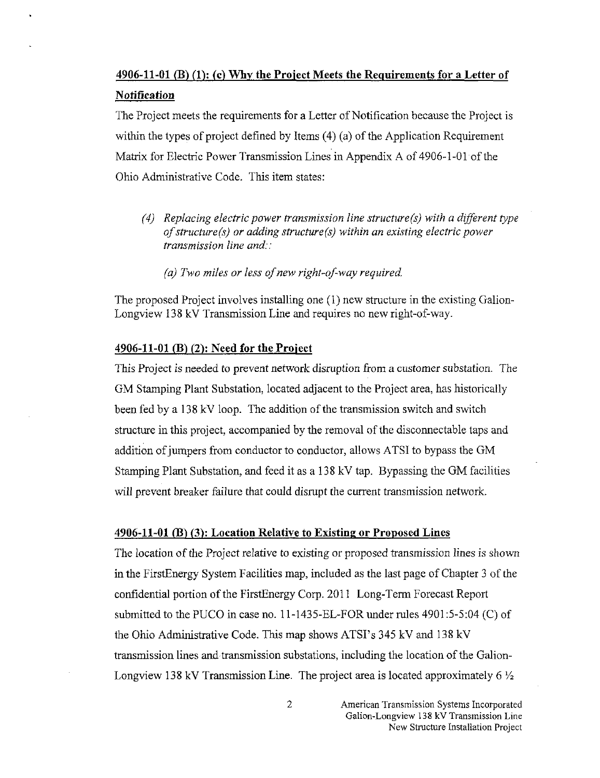# 4906-11-01 (B) (1): (c) Why the Project Meets the Requirements for a Letter of **Notification**

The Project meets the requirements for a Letter of Notification because the Project is within the types of project defined by Items  $(4)$   $(a)$  of the Application Requirement Matrix for Electric Power Transmission Lines in Appendix A of 4906-1 -01 of the Ohio Administrative Code. This item states:

- (4) Replacing electric power transmission line structure(s) with a different type of structure (s) or adding structure (s) within an existing electric power transmission line and::
	- (a) Two miles or less of new right-of-way required.

The proposed Project involves installing one (1) new structure in the existing Galion-Longview 138 kV Transmission Line and requires no new right-of-way.

#### 4906-11-01 (B) (2): Need for the Project

This Project is needed to prevent network disruption from a customer substation. The GM Stamping Plant Substation, located adjacent to the Project area, has historically been fed by a 138 kV loop. The addition of the transmission switch and switch structure in this project, accompanied by the removal of the disconnectable taps and addition of jumpers from conductor to conductor, allows ATSI to bypass the GM Stamping Plant Substation, and feed it as a 138 kV tap. Bypassing the GM facilities will prevent breaker failure that could disrupt the current transmission network.

#### 4906-11-01 (B) (3): Location Relative to Existing or Proposed Lines

The location of the Project relative to existing or proposed transmission lines is shown in the FirstEnergy System Facilities map, included as the last page of Chapter 3 of the confidential portion ofthe FirstEnergy Corp. 2011 Long-Term Forecast Report submitted to the PUCO in case no.  $11-1435-EL-FOR$  under rules  $4901:5-5:04$  (C) of the Ohio Administrative Code. This map shows ATSI's 345 kV and 138 kV transmission lines and transmission substations, including the location of the Galion-Longview 138 kV Transmission Line. The project area is located approximately 6  $\frac{1}{2}$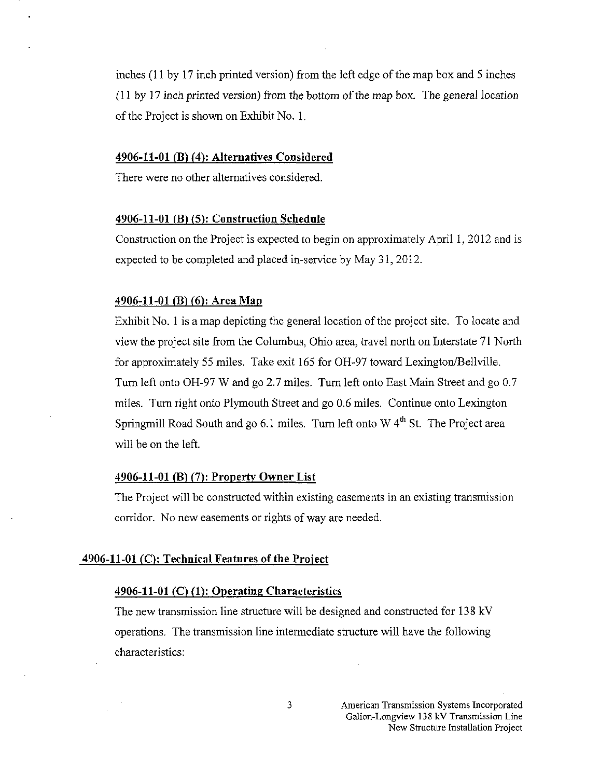inches  $(11 \text{ by } 17 \text{ inch printed version})$  from the left edge of the map box and 5 inches  $(11 \text{ by } 17 \text{ inch printed version})$  from the bottom of the map box. The general location of the Project is shown on Exhibit No. 1.

# 4906-11-01 (B) (4)'. Alternatives Considered

There were no other alternatives considered.

### 4906-11-01 (B) (5): Construction Schedule

Construction on the Project is expected to begin on approximately April 1, 2012 and is expected to be completed and placed in-service by May 31, 2012.

#### 4906-11-01 (B) (6): Area Map

Exhibit No. 1 is a map depicting the general location of the project site. To locate and view the project site from the Columbus, Ohio area, travel north on Interstate 71 North for approximately 55 miles. Take exit 165 for OH-97 toward Lexington/Bellville. Turn left onto OH-97 W and go 2.7 miles. Tum left onto East Main Stteet and go 0.7 miles. Tum right onto Plymouth Street and go 0.6 miles. Continue onto Lexington Springmill Road South and go 6.1 miles. Turn left onto W  $4<sup>th</sup>$  St. The Project area will be on the left.

#### 4906-11-01 (B) (7): Property Owner List

The Project will be constructed within existing easements in an existing transmission corridor. No new easements or rights of way are needed.

#### $4906-11-01$  (C): Technical Features of the Project

# $4906-11-01$  (C) (1): Operating Characteristics

The new transmission line structure will be designed and constructed for 138 kV operations. The transmission line intermediate structure will have the following characteristics:

3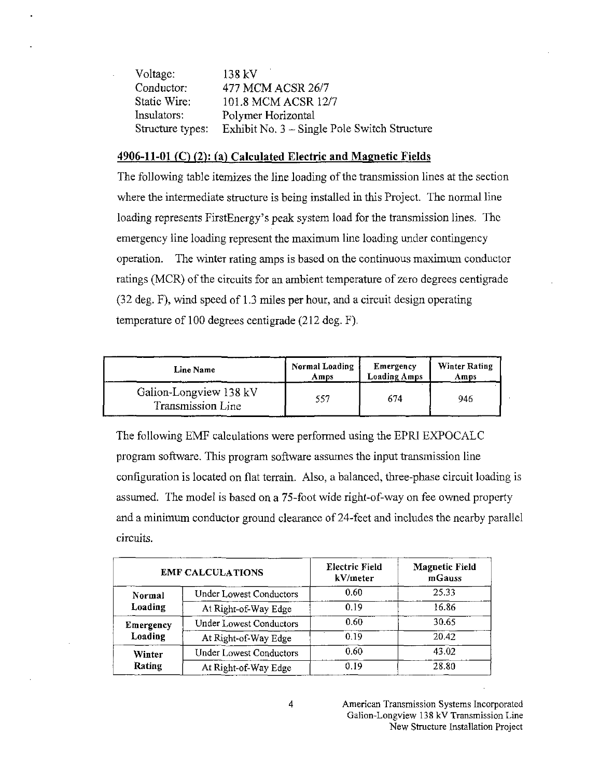| 138 kV                                       |
|----------------------------------------------|
| 477 MCM ACSR 26/7                            |
| 101.8 MCM ACSR 12/7                          |
| Polymer Horizontal                           |
| Exhibit No. 3 – Single Pole Switch Structure |
|                                              |

### 4906-11-01 (C) (2): fa) Calculated Electric and Magnetic Fields

The following table itemizes the line loading of the transmission lines at the section where the intermediate structure is being installed in this Project. The normal line loading represents FirstEnergy's peak system load for the transmission lines. The emergency line loading represent the maximum line loading under contingency operation. The winter rating amps is based on the continuous maximum conductor ratings (MCR) of the circuits for an ambient temperature of zero degrees centigrade (32 deg. F), wind speed of 1.3 miles per hour, and a circuit design operating temperature of 100 degrees centigrade (212 deg. F).

| Line Name                                   | Normal Loading | Emergency           | Winter Rating |
|---------------------------------------------|----------------|---------------------|---------------|
|                                             | Amps           | <b>Loading Amps</b> | Amps          |
| Galion-Longview 138 kV<br>Transmission Line | 557            | 674                 | 946           |

The following EMF calculations were performed using the EPRI EXPOCALC program software. This program software assumes the input transmission line configuration is located on flat terrain. Also, a balanced, three-phase circuit loading is assumed. The model is based on a 75-foot wide right-of-way on fee owned property and a minimum conductor ground clearance of 24-feet and includes the nearby parallel circuits.

| <b>EMF CALCULATIONS</b> |                                | Electric Field<br>kV/meter | <b>Magnetic Field</b><br>mGauss |
|-------------------------|--------------------------------|----------------------------|---------------------------------|
| Normal<br>Loading       | <b>Under Lowest Conductors</b> | 0.60                       | 25.33                           |
|                         | At Right-of-Way Edge           | 0.19                       | 16.86                           |
| Emergency<br>Loading    | <b>Under Lowest Conductors</b> | 0.60                       | 30.65                           |
|                         | At Right-of-Way Edge           | 0.19                       | 20.42                           |
| Winter<br>Rating        | <b>Under Lowest Conductors</b> | 0.60                       | 43.02                           |
|                         | At Right-of-Way Edge           | 0.19                       | 28.80                           |

American Transmission Systems Incorporated Galion-Longview 138 kV Transmission Line New Structure Installation Project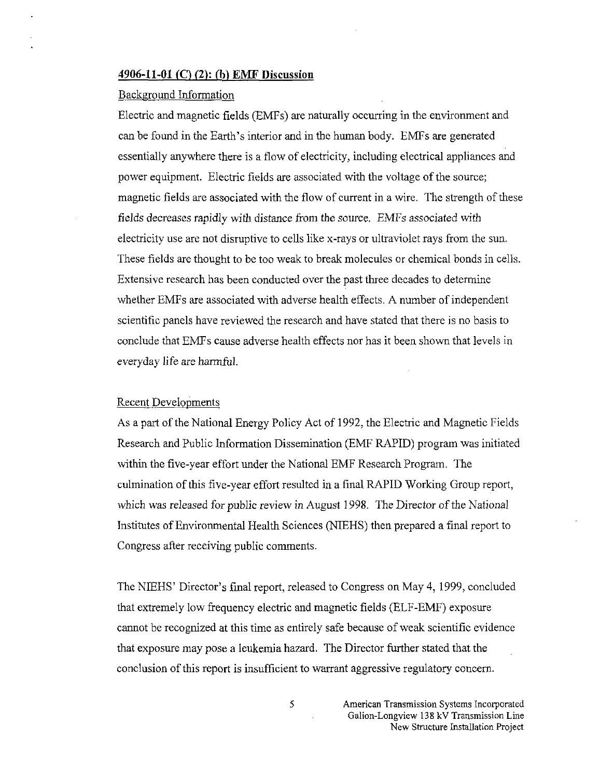#### 4906-11-QI (C) (2): (h) EMF Discussion

### Background Information

Electric and magnetic fields (EMFs) are naturally occurring in the environment and can be found in the Earth's interior and in the human body. EMFs are generated essentially anywhere there is a flow of electricity, including electrical appliances and power equipment. Electric fields are associated with the voltage of the source; magnetic fields are associated with the flow of current in a wire. The strength of these fields decreases rapidly with distance from the source. EMFs associated with electricity use are not disruptive to cells like x-rays or ultraviolet rays from the sun. These fields are thought to be too weak to break molecules or chemical bonds in cells. Extensive research has been conducted over the past three decades to determine whether EMFs are associated with adverse health effects. A number of independent scientific panels have reviewed the research and have stated that there is no basis to conclude that EMFs cause adverse health effects nor has it been shown that levels in everyday life are harmful.

#### Recent Developments

As a part of the National Energy Policy Act of 1992, the Electric and Magnetic Fields Research and Public Information Dissemination (EMF RAPID) program was initiated within the five-year effort under the National EMF Research Program. The culmination of this five-year effort resulted in a final RAPID Working Group report, which was released for public review in August 1998. The Director of the National Institutes of Environmental Health Sciences (NIEHS) then prepared a final report to Congress after receiving public comments.

The NIEHS' Director's final report, released to Congress on May 4, 1999, concluded that extremely low frequency electric and magnetic fields (ELF-EMF) exposure cannot be recognized at this time as entirely safe because of weak scientific evidence that exposure may pose a leukemia hazard. The Director farther stated that the conclusion of this report is insufficient to warrant aggressive regulatory concern.

> American Transmission Systems Incorporated Galion-Longview 138 kV Transmission Line New Structure Installation Project

5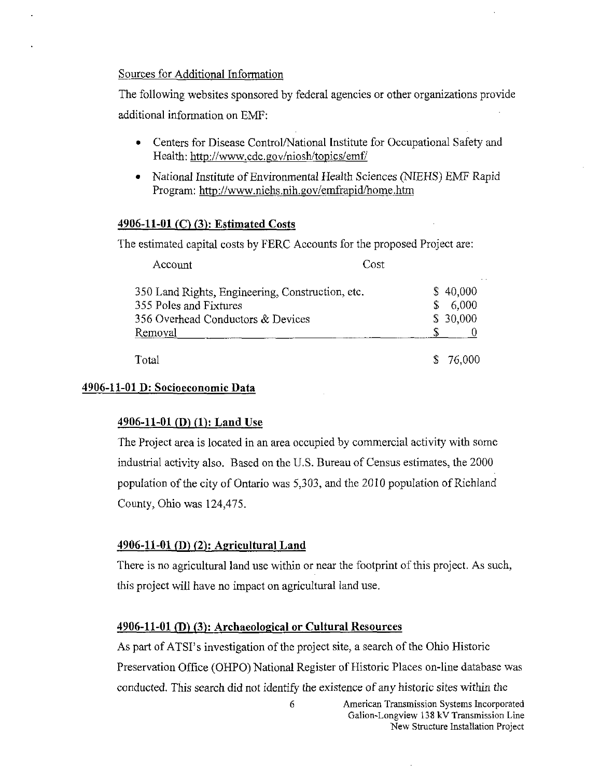# Sources for Additional Information

The following websites sponsored by federal agencies or other organizations provide additional information on EMF:

- Centers for Disease Control/National Institute for Occupational Safety and Health: <http://www.cdc.gov/niosh/topics/emf/>
- National Institute of Environmental Health Sciences (NIEHS) EMF Rapid Program: <http://www.niehs.nih.gov/emfrapid/home.htm>

# 4906-11-01 (C) (3): Estimated Costs

The estimated capital costs by FERC Accounts for the proposed Project are:

| Account                                          | Cost     |
|--------------------------------------------------|----------|
| 350 Land Rights, Engineering, Construction, etc. | \$40,000 |
| 355 Poles and Fixtures                           | 6,000    |
| 356 Overhead Conductors & Devices                | \$30,000 |
| Removal                                          |          |
| Total                                            | 76.000   |

# 4906-11-01 D: Socioeconomic Data

# $4906-11-01$  (D) (1): Land Use

The Project area is located in an area occupied by commercial activity with some industrial activity also. Based on the U.S. Bureau of Census estimates, the 2000 population of the city of Ontario was 5,303, and the 2010 population of Richland County, Ohio was 124,475.

# $4906-11-01$  (D) (2): Agricultural Land

There is no agricultural land use within or near the footprint of this project. As such, this project will have no impact on agricultural land use.

### 4906-11-01 (D) (3): Archaeological or Cultural Resources

As part of ATSI's investigation of the project site, a search of the Ohio Historic Preservation Office (OHPO) National Register of Historic Places on-line database was conducted. This search did not identify the existence of any historic sites within the

> 6 American Transmission Systems Incorporated Galion-Longview 138 kV Transmission Line New Structure Installation Project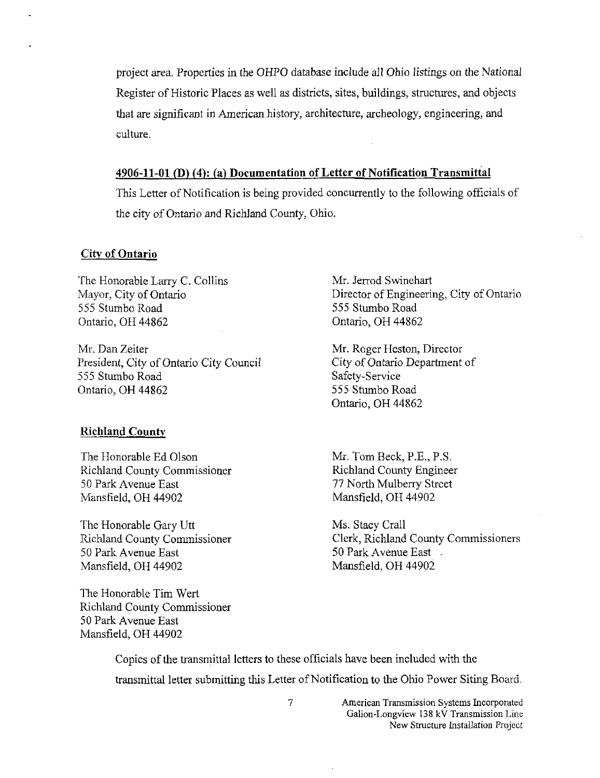project area. Properties in the OHPO database include all Ohio listings on the National Register of Historic Places as well as districts, sites, buildings, structures, and objects that are significant in American history, architecture, archeology, engineering, and culture.

#### 4906-11-01 (D)  $(4)$ : (a) Documentation of Letter of Notification Transmittal

This Letter of Notification is being provided concurrently to the following officials of the city of Ontario and Richland County, Ohio.

# City of Ontario

The Honorable Larry C. Collins Mayor, City of Ontario 555 Stumbo Road Ontario, OH 44862

Mr. Dan Zeiter President, City of Ontario City Council 555 Stumbo Road Ontario, OH 44862

#### Richland County

The Honorable Ed Olson Richland County Commissioner 50 Park Avenue East Mansfield, OH 44902

The Honorable Gary Utt Richland County Commissioner 50 Park Avenue East Mansfield, OH 44902

The Honorable Tim Wert Richland County Commissioner 50 Park Avenue East Mansfield, OH 44902

Mr. Jerrod Swinehart Director of Engineering, City of Ontario 555 Stumbo Road Ontario, OH 44862

Mr. Roger Heston, Director City of Ontario Department of Safety-Service 555 Stumbo Road Ontario, OH 44862

Mr. Tom Beck, P.E., P.S. Richland County Engineer 77 North Mulberry Street Mansfield, OH 44902

Ms. Stacy Crall Clerk, Richland County Commissioners 50 Park Avenue East -Mansfield, OH 44902

Copies of the transmittal letters to these officials have been included with the transmittal letter submitting this Letter of Notification to the Ohio Power Siting Board.

> 7 American Transmission Systems Incorporated Galion-Longview 138 kV Transmission Line New Structure Installation Project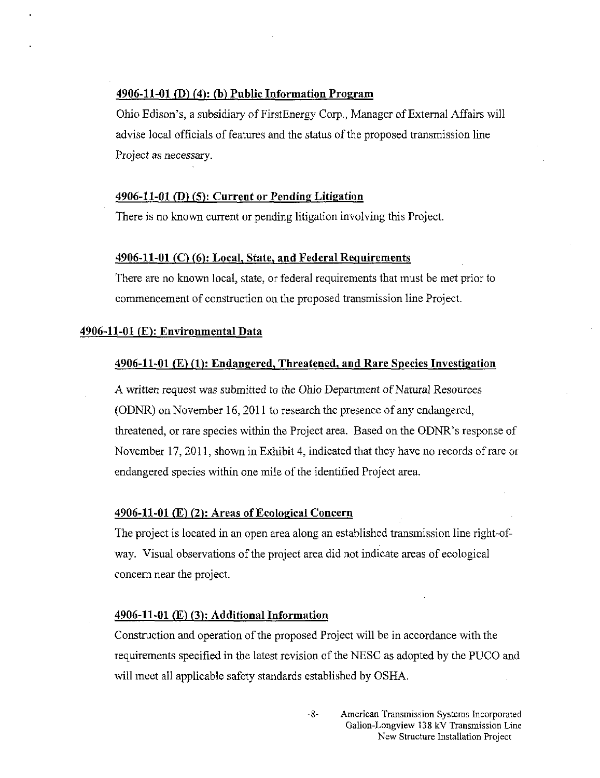## 4906-11-01 (D) (4): (h) Public Information Program

Ohio Edison's, a subsidiary of FirstEnergy Corp., Manager of External Affairs will advise local officials of features and the status of the proposed transmission line Project as necessary.

# 4906-11-01 (D) (5): Current or Pending Litigation

There is no known current or pending litigation involving this Project.

#### $4906-11-01$  (C) (6): Local, State, and Federal Requirements

There are no known local, state, or federal requirements that must be met prior to commencement of construction on the proposed transmission line Project.

#### 4906-11-01 (E): Environmental Data

#### 4906-11-01 (E) (I): Endangered, Threatened, and Rare Species Inyestigation

A written request was submitted to the Ohio Department of Natural Resources (ODNR) on November 16, 2011 to research the presence of any endangered, threatened, or rare species within the Project area. Based on the ODNR's response of November 17, 2011, shown in Exhibit 4, indicated that they have no records of rare or endangered species within one mile of the identified Project area.

#### 4906-11-01 (E) (2): Areas of Ecological Concern

The project is located in an open area along an established transmission line right-ofway. Visual observations of the project area did not indicate areas of ecological concern near the project.

#### $4906-11-01$  (E) (3): Additional Information

Construction and operation of the proposed Project will be in accordance with the requirements specified in the latest revision of the NESC as adopted by the PUCO and will meet all applicable safety standards established by OSHA.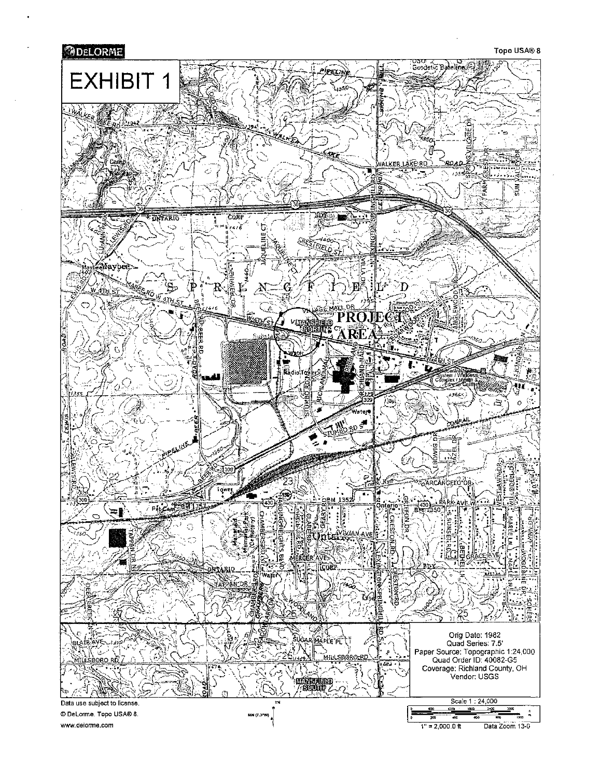

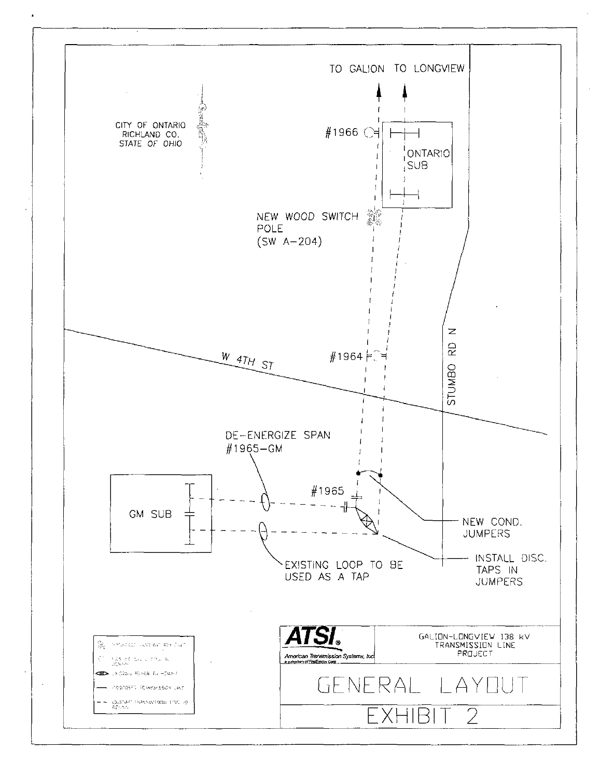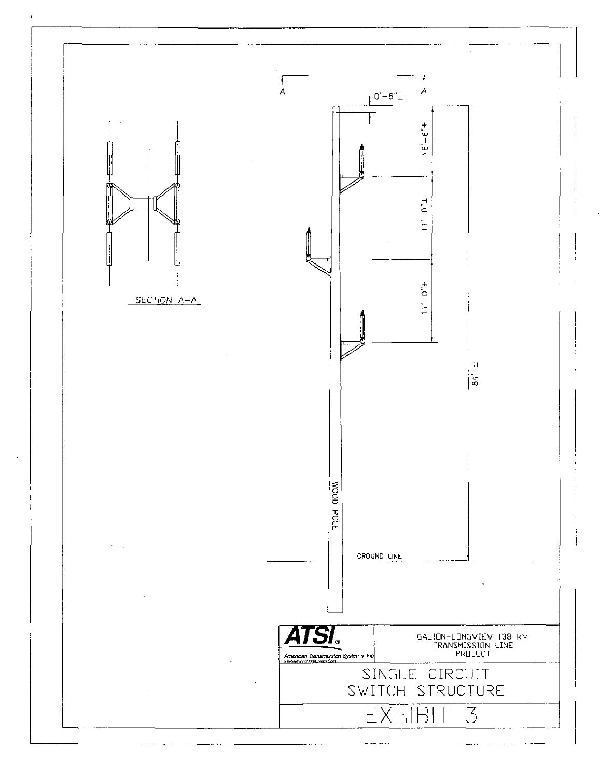